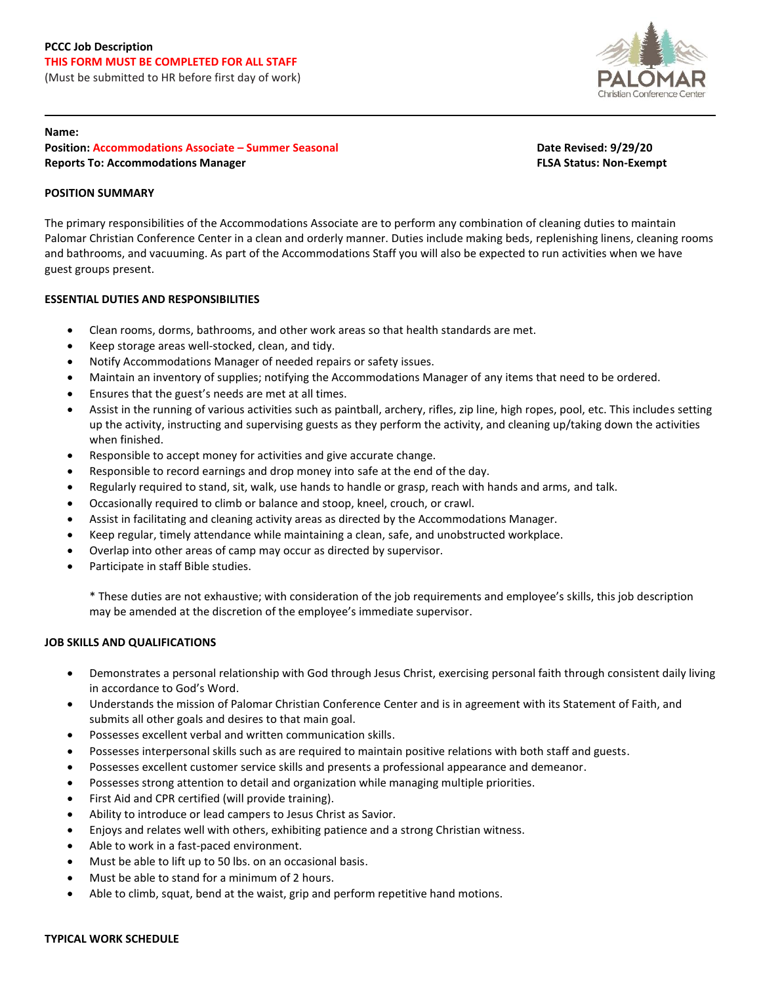# **PCCC Job Description THIS FORM MUST BE COMPLETED FOR ALL STAFF**

(Must be submitted to HR before first day of work)



#### **Name:**

**Position: Accommodations Associate – Summer Seasonal Date Revised: 9/29/20 Reports To: Accommodations Manager FLSA Status: Non-Exempt**

## **POSITION SUMMARY**

The primary responsibilities of the Accommodations Associate are to perform any combination of cleaning duties to maintain Palomar Christian Conference Center in a clean and orderly manner. Duties include making beds, replenishing linens, cleaning rooms and bathrooms, and vacuuming. As part of the Accommodations Staff you will also be expected to run activities when we have guest groups present.

## **ESSENTIAL DUTIES AND RESPONSIBILITIES**

- Clean rooms, dorms, bathrooms, and other work areas so that health standards are met.
- Keep storage areas well-stocked, clean, and tidy.
- Notify Accommodations Manager of needed repairs or safety issues.
- Maintain an inventory of supplies; notifying the Accommodations Manager of any items that need to be ordered.
- Ensures that the guest's needs are met at all times.
- Assist in the running of various activities such as paintball, archery, rifles, zip line, high ropes, pool, etc. This includes setting up the activity, instructing and supervising guests as they perform the activity, and cleaning up/taking down the activities when finished.
- Responsible to accept money for activities and give accurate change.
- Responsible to record earnings and drop money into safe at the end of the day.
- Regularly required to stand, sit, walk, use hands to handle or grasp, reach with hands and arms, and talk.
- Occasionally required to climb or balance and stoop, kneel, crouch, or crawl.
- Assist in facilitating and cleaning activity areas as directed by the Accommodations Manager.
- Keep regular, timely attendance while maintaining a clean, safe, and unobstructed workplace.
- Overlap into other areas of camp may occur as directed by supervisor.
- Participate in staff Bible studies.

\* These duties are not exhaustive; with consideration of the job requirements and employee's skills, this job description may be amended at the discretion of the employee's immediate supervisor.

#### **JOB SKILLS AND QUALIFICATIONS**

- Demonstrates a personal relationship with God through Jesus Christ, exercising personal faith through consistent daily living in accordance to God's Word.
- Understands the mission of Palomar Christian Conference Center and is in agreement with its Statement of Faith, and submits all other goals and desires to that main goal.
- Possesses excellent verbal and written communication skills.
- Possesses interpersonal skills such as are required to maintain positive relations with both staff and guests.
- Possesses excellent customer service skills and presents a professional appearance and demeanor.
- Possesses strong attention to detail and organization while managing multiple priorities.
- First Aid and CPR certified (will provide training).
- Ability to introduce or lead campers to Jesus Christ as Savior.
- Enjoys and relates well with others, exhibiting patience and a strong Christian witness.
- Able to work in a fast-paced environment.
- Must be able to lift up to 50 lbs. on an occasional basis.
- Must be able to stand for a minimum of 2 hours.
- Able to climb, squat, bend at the waist, grip and perform repetitive hand motions.